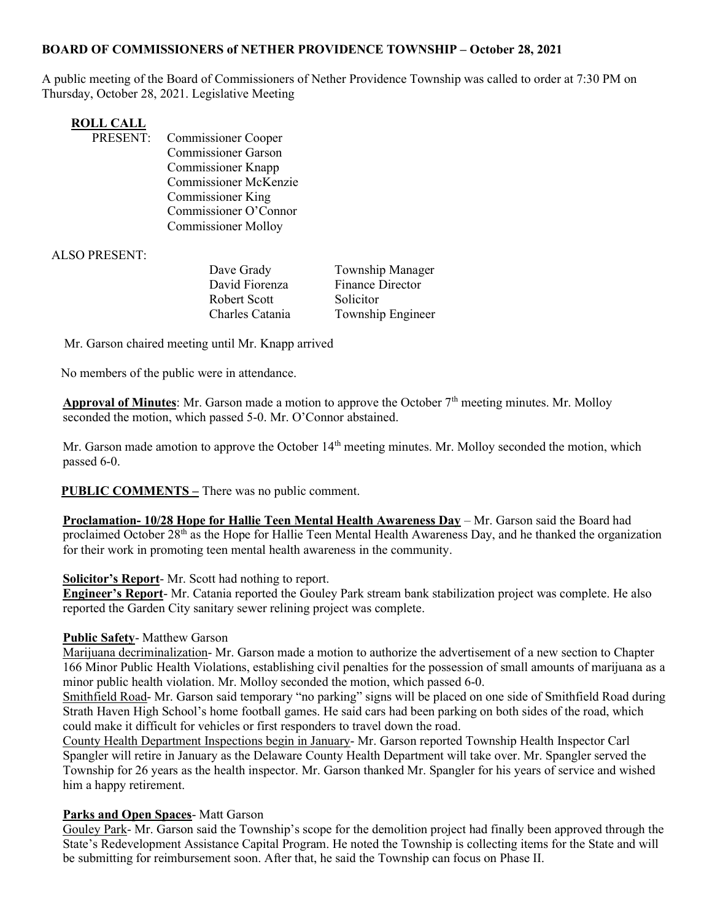## BOARD OF COMMISSIONERS of NETHER PROVIDENCE TOWNSHIP – October 28, 2021

A public meeting of the Board of Commissioners of Nether Providence Township was called to order at 7:30 PM on Thursday, October 28, 2021. Legislative Meeting

| <b>ROLL CALL</b> |                              |
|------------------|------------------------------|
| PRESENT:         | <b>Commissioner Cooper</b>   |
|                  | <b>Commissioner Garson</b>   |
|                  | <b>Commissioner Knapp</b>    |
|                  | <b>Commissioner McKenzie</b> |
|                  | <b>Commissioner King</b>     |
|                  | Commissioner O'Connor        |
|                  | <b>Commissioner Molloy</b>   |

ALSO PRESENT:

| Dave Grady      | Township Manager  |
|-----------------|-------------------|
| David Fiorenza  | Finance Director  |
| Robert Scott    | Solicitor         |
| Charles Catania | Township Engineer |

Mr. Garson chaired meeting until Mr. Knapp arrived

No members of the public were in attendance.

Approval of Minutes: Mr. Garson made a motion to approve the October  $7<sup>th</sup>$  meeting minutes. Mr. Molloy seconded the motion, which passed 5-0. Mr. O'Connor abstained.

Mr. Garson made amotion to approve the October 14<sup>th</sup> meeting minutes. Mr. Molloy seconded the motion, which passed 6-0.

**PUBLIC COMMENTS** – There was no public comment.

Proclamation- 10/28 Hope for Hallie Teen Mental Health Awareness Day – Mr. Garson said the Board had proclaimed October 28<sup>th</sup> as the Hope for Hallie Teen Mental Health Awareness Day, and he thanked the organization for their work in promoting teen mental health awareness in the community.

## Solicitor's Report- Mr. Scott had nothing to report.

Engineer's Report- Mr. Catania reported the Gouley Park stream bank stabilization project was complete. He also reported the Garden City sanitary sewer relining project was complete.

## Public Safety- Matthew Garson

Marijuana decriminalization- Mr. Garson made a motion to authorize the advertisement of a new section to Chapter 166 Minor Public Health Violations, establishing civil penalties for the possession of small amounts of marijuana as a minor public health violation. Mr. Molloy seconded the motion, which passed 6-0.

Smithfield Road- Mr. Garson said temporary "no parking" signs will be placed on one side of Smithfield Road during Strath Haven High School's home football games. He said cars had been parking on both sides of the road, which could make it difficult for vehicles or first responders to travel down the road.

County Health Department Inspections begin in January- Mr. Garson reported Township Health Inspector Carl Spangler will retire in January as the Delaware County Health Department will take over. Mr. Spangler served the Township for 26 years as the health inspector. Mr. Garson thanked Mr. Spangler for his years of service and wished him a happy retirement.

## Parks and Open Spaces- Matt Garson

Gouley Park- Mr. Garson said the Township's scope for the demolition project had finally been approved through the State's Redevelopment Assistance Capital Program. He noted the Township is collecting items for the State and will be submitting for reimbursement soon. After that, he said the Township can focus on Phase II.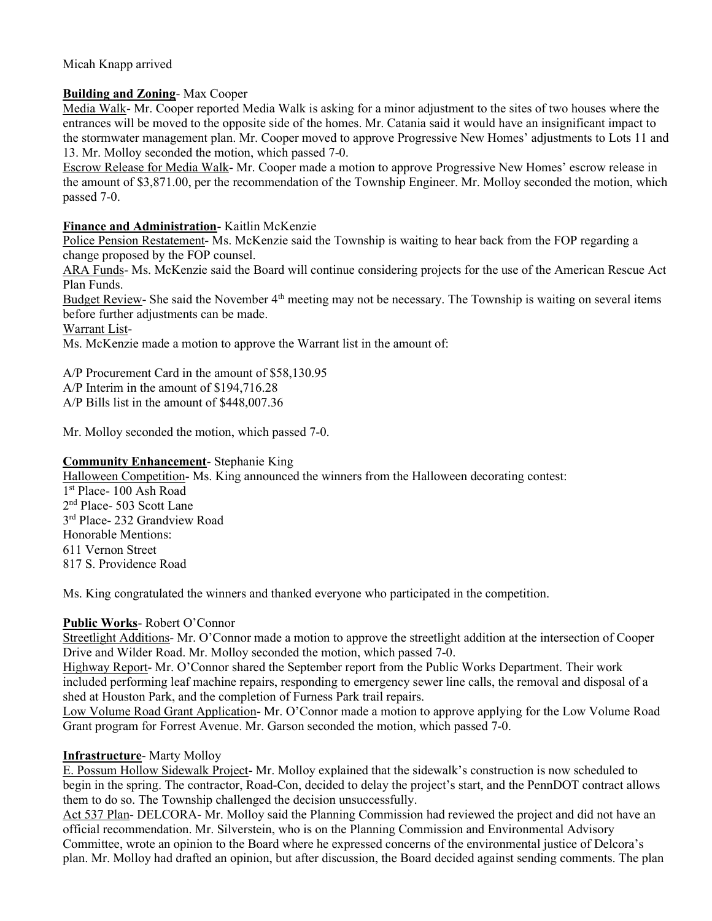# Micah Knapp arrived

## Building and Zoning- Max Cooper

Media Walk- Mr. Cooper reported Media Walk is asking for a minor adjustment to the sites of two houses where the entrances will be moved to the opposite side of the homes. Mr. Catania said it would have an insignificant impact to the stormwater management plan. Mr. Cooper moved to approve Progressive New Homes' adjustments to Lots 11 and 13. Mr. Molloy seconded the motion, which passed 7-0.

Escrow Release for Media Walk- Mr. Cooper made a motion to approve Progressive New Homes' escrow release in the amount of \$3,871.00, per the recommendation of the Township Engineer. Mr. Molloy seconded the motion, which passed 7-0.

## Finance and Administration- Kaitlin McKenzie

Police Pension Restatement- Ms. McKenzie said the Township is waiting to hear back from the FOP regarding a change proposed by the FOP counsel.

ARA Funds- Ms. McKenzie said the Board will continue considering projects for the use of the American Rescue Act Plan Funds.

Budget Review- She said the November 4<sup>th</sup> meeting may not be necessary. The Township is waiting on several items before further adjustments can be made.

Warrant List-

Ms. McKenzie made a motion to approve the Warrant list in the amount of:

A/P Procurement Card in the amount of \$58,130.95

A/P Interim in the amount of \$194,716.28

A/P Bills list in the amount of \$448,007.36

Mr. Molloy seconded the motion, which passed 7-0.

# Community Enhancement- Stephanie King

Halloween Competition- Ms. King announced the winners from the Halloween decorating contest: 1 st Place- 100 Ash Road

2 nd Place- 503 Scott Lane 3 rd Place- 232 Grandview Road Honorable Mentions: 611 Vernon Street

817 S. Providence Road

Ms. King congratulated the winners and thanked everyone who participated in the competition.

## Public Works- Robert O'Connor

Streetlight Additions- Mr. O'Connor made a motion to approve the streetlight addition at the intersection of Cooper Drive and Wilder Road. Mr. Molloy seconded the motion, which passed 7-0.

Highway Report- Mr. O'Connor shared the September report from the Public Works Department. Their work included performing leaf machine repairs, responding to emergency sewer line calls, the removal and disposal of a shed at Houston Park, and the completion of Furness Park trail repairs.

Low Volume Road Grant Application- Mr. O'Connor made a motion to approve applying for the Low Volume Road Grant program for Forrest Avenue. Mr. Garson seconded the motion, which passed 7-0.

## Infrastructure- Marty Molloy

E. Possum Hollow Sidewalk Project- Mr. Molloy explained that the sidewalk's construction is now scheduled to begin in the spring. The contractor, Road-Con, decided to delay the project's start, and the PennDOT contract allows them to do so. The Township challenged the decision unsuccessfully.

Act 537 Plan- DELCORA- Mr. Molloy said the Planning Commission had reviewed the project and did not have an official recommendation. Mr. Silverstein, who is on the Planning Commission and Environmental Advisory Committee, wrote an opinion to the Board where he expressed concerns of the environmental justice of Delcora's plan. Mr. Molloy had drafted an opinion, but after discussion, the Board decided against sending comments. The plan